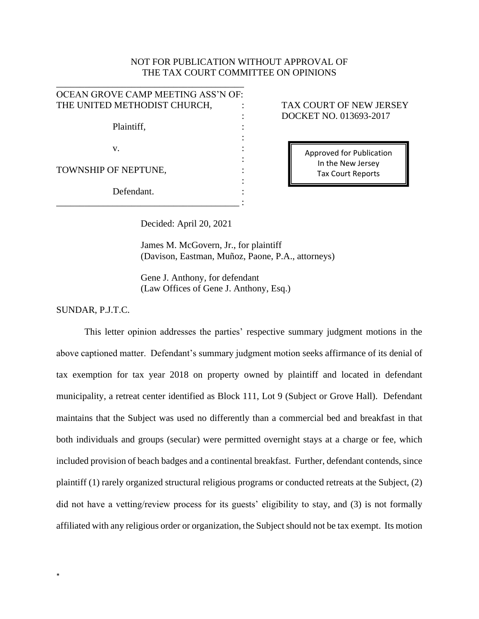## NOT FOR PUBLICATION WITHOUT APPROVAL OF THE TAX COURT COMMITTEE ON OPINIONS

| OCEAN GROVE CAMP MEETING ASS'N OF: |  |
|------------------------------------|--|
| THE UNITED METHODIST CHURCH,       |  |
|                                    |  |
| Plaintiff,                         |  |
|                                    |  |
| V.                                 |  |
|                                    |  |
| TOWNSHIP OF NEPTUNE,               |  |
|                                    |  |
| Defendant.                         |  |
|                                    |  |

\_\_\_\_\_\_\_\_\_\_\_\_\_\_\_\_\_\_\_\_\_\_\_\_\_\_\_\_\_\_\_\_\_\_\_\_\_\_\_\_

## TAX COURT OF NEW JERSEY : DOCKET NO. 013693-2017

Approved for Publication In the New Jersey Tax Court Reports

Decided: April 20, 2021

James M. McGovern, Jr., for plaintiff (Davison, Eastman, Muñoz, Paone, P.A., attorneys)

Gene J. Anthony, for defendant (Law Offices of Gene J. Anthony, Esq.)

SUNDAR, P.J.T.C.

\*

This letter opinion addresses the parties' respective summary judgment motions in the above captioned matter. Defendant's summary judgment motion seeks affirmance of its denial of tax exemption for tax year 2018 on property owned by plaintiff and located in defendant municipality, a retreat center identified as Block 111, Lot 9 (Subject or Grove Hall). Defendant maintains that the Subject was used no differently than a commercial bed and breakfast in that both individuals and groups (secular) were permitted overnight stays at a charge or fee, which included provision of beach badges and a continental breakfast. Further, defendant contends, since plaintiff (1) rarely organized structural religious programs or conducted retreats at the Subject, (2) did not have a vetting/review process for its guests' eligibility to stay, and (3) is not formally affiliated with any religious order or organization, the Subject should not be tax exempt. Its motion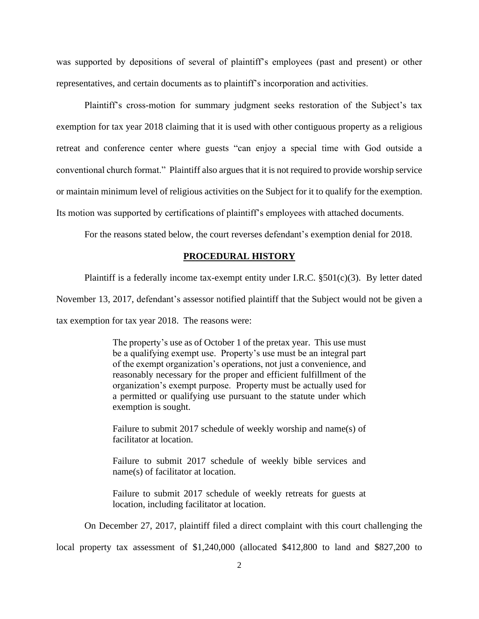was supported by depositions of several of plaintiff's employees (past and present) or other representatives, and certain documents as to plaintiff's incorporation and activities.

Plaintiff's cross-motion for summary judgment seeks restoration of the Subject's tax exemption for tax year 2018 claiming that it is used with other contiguous property as a religious retreat and conference center where guests "can enjoy a special time with God outside a conventional church format." Plaintiff also argues that it is not required to provide worship service or maintain minimum level of religious activities on the Subject for it to qualify for the exemption. Its motion was supported by certifications of plaintiff's employees with attached documents.

For the reasons stated below, the court reverses defendant's exemption denial for 2018.

#### **PROCEDURAL HISTORY**

Plaintiff is a federally income tax-exempt entity under I.R.C. §501(c)(3). By letter dated

November 13, 2017, defendant's assessor notified plaintiff that the Subject would not be given a

tax exemption for tax year 2018. The reasons were:

The property's use as of October 1 of the pretax year. This use must be a qualifying exempt use. Property's use must be an integral part of the exempt organization's operations, not just a convenience, and reasonably necessary for the proper and efficient fulfillment of the organization's exempt purpose. Property must be actually used for a permitted or qualifying use pursuant to the statute under which exemption is sought.

Failure to submit 2017 schedule of weekly worship and name(s) of facilitator at location.

Failure to submit 2017 schedule of weekly bible services and name(s) of facilitator at location.

Failure to submit 2017 schedule of weekly retreats for guests at location, including facilitator at location.

On December 27, 2017, plaintiff filed a direct complaint with this court challenging the

local property tax assessment of \$1,240,000 (allocated \$412,800 to land and \$827,200 to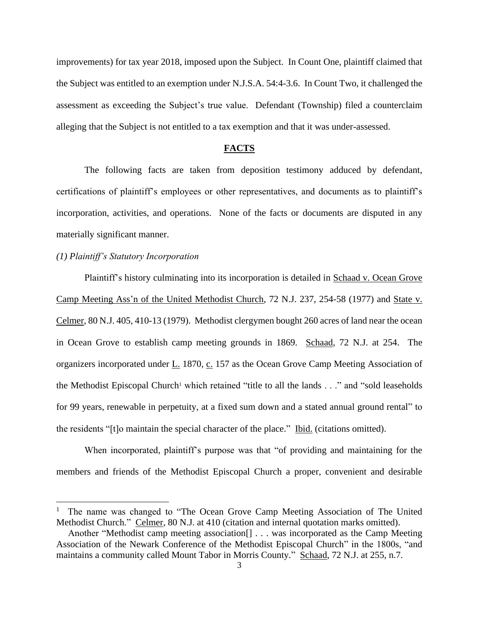improvements) for tax year 2018, imposed upon the Subject. In Count One, plaintiff claimed that the Subject was entitled to an exemption under N.J.S.A. 54:4-3.6. In Count Two, it challenged the assessment as exceeding the Subject's true value. Defendant (Township) filed a counterclaim alleging that the Subject is not entitled to a tax exemption and that it was under-assessed.

# **FACTS**

The following facts are taken from deposition testimony adduced by defendant, certifications of plaintiff's employees or other representatives, and documents as to plaintiff's incorporation, activities, and operations. None of the facts or documents are disputed in any materially significant manner.

## *(1) Plaintiff's Statutory Incorporation*

Plaintiff's history culminating into its incorporation is detailed in Schaad v. Ocean Grove Camp Meeting Ass'n of the United Methodist Church, 72 N.J. 237, 254-58 (1977) and State v. Celmer, 80 N.J. 405, 410-13 (1979). Methodist clergymen bought 260 acres of land near the ocean in Ocean Grove to establish camp meeting grounds in 1869. Schaad, 72 N.J. at 254. The organizers incorporated under L. 1870, c. 157 as the Ocean Grove Camp Meeting Association of the Methodist Episcopal Church<sup>1</sup> which retained "title to all the lands  $\ldots$ " and "sold leaseholds" for 99 years, renewable in perpetuity, at a fixed sum down and a stated annual ground rental" to the residents "[t]o maintain the special character of the place." <u>Ibid.</u> (citations omitted).

When incorporated, plaintiff's purpose was that "of providing and maintaining for the members and friends of the Methodist Episcopal Church a proper, convenient and desirable

<sup>1</sup> The name was changed to "The Ocean Grove Camp Meeting Association of The United Methodist Church." Celmer, 80 N.J. at 410 (citation and internal quotation marks omitted).

Another "Methodist camp meeting association[] . . . was incorporated as the Camp Meeting Association of the Newark Conference of the Methodist Episcopal Church" in the 1800s, "and maintains a community called Mount Tabor in Morris County." Schaad, 72 N.J. at 255, n.7.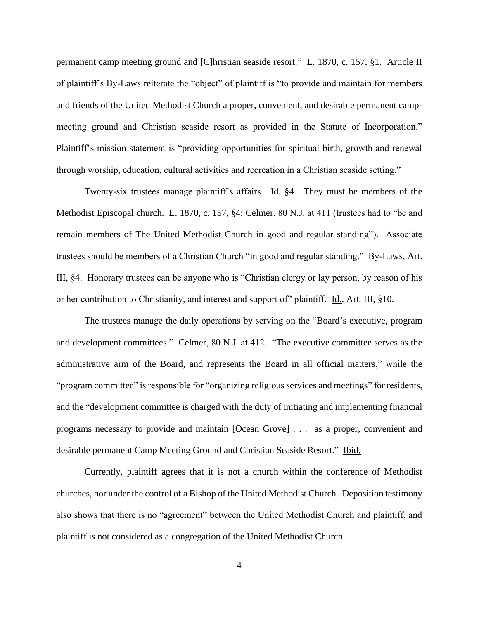permanent camp meeting ground and [C]hristian seaside resort." L. 1870, c. 157, §1. Article II of plaintiff's By-Laws reiterate the "object" of plaintiff is "to provide and maintain for members and friends of the United Methodist Church a proper, convenient, and desirable permanent campmeeting ground and Christian seaside resort as provided in the Statute of Incorporation." Plaintiff's mission statement is "providing opportunities for spiritual birth, growth and renewal through worship, education, cultural activities and recreation in a Christian seaside setting."

Twenty-six trustees manage plaintiff's affairs. Id. §4. They must be members of the Methodist Episcopal church. L. 1870, c. 157, §4; Celmer, 80 N.J. at 411 (trustees had to "be and remain members of The United Methodist Church in good and regular standing"). Associate trustees should be members of a Christian Church "in good and regular standing." By-Laws, Art. III, §4. Honorary trustees can be anyone who is "Christian clergy or lay person, by reason of his or her contribution to Christianity, and interest and support of" plaintiff. Id., Art. III, §10.

The trustees manage the daily operations by serving on the "Board's executive, program and development committees." Celmer, 80 N.J. at 412. "The executive committee serves as the administrative arm of the Board, and represents the Board in all official matters," while the "program committee" is responsible for "organizing religious services and meetings" for residents, and the "development committee is charged with the duty of initiating and implementing financial programs necessary to provide and maintain [Ocean Grove] . . . as a proper, convenient and desirable permanent Camp Meeting Ground and Christian Seaside Resort." Ibid.

Currently, plaintiff agrees that it is not a church within the conference of Methodist churches, nor under the control of a Bishop of the United Methodist Church. Deposition testimony also shows that there is no "agreement" between the United Methodist Church and plaintiff, and plaintiff is not considered as a congregation of the United Methodist Church.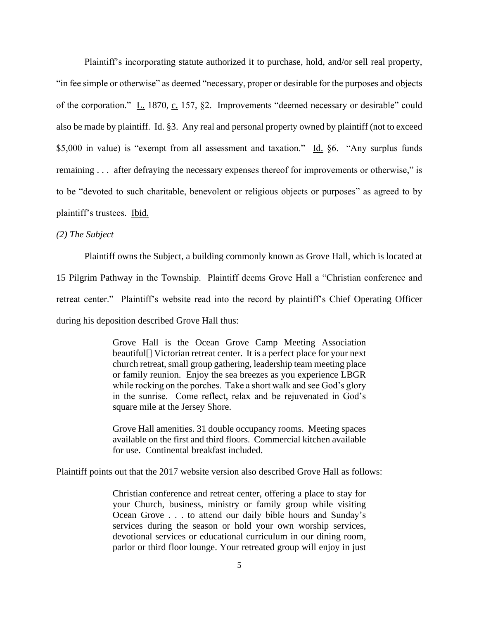Plaintiff's incorporating statute authorized it to purchase, hold, and/or sell real property, "in fee simple or otherwise" as deemed "necessary, proper or desirable for the purposes and objects of the corporation."  $\underline{L}$ . 1870,  $\underline{c}$ . 157, §2. Improvements "deemed necessary or desirable" could also be made by plaintiff. Id. §3. Any real and personal property owned by plaintiff (not to exceed \$5,000 in value) is "exempt from all assessment and taxation." Id. §6. "Any surplus funds remaining . . . after defraying the necessary expenses thereof for improvements or otherwise," is to be "devoted to such charitable, benevolent or religious objects or purposes" as agreed to by plaintiff's trustees. Ibid.

*(2) The Subject*

Plaintiff owns the Subject, a building commonly known as Grove Hall, which is located at 15 Pilgrim Pathway in the Township. Plaintiff deems Grove Hall a "Christian conference and retreat center." Plaintiff's website read into the record by plaintiff's Chief Operating Officer during his deposition described Grove Hall thus:

> Grove Hall is the Ocean Grove Camp Meeting Association beautiful[] Victorian retreat center. It is a perfect place for your next church retreat, small group gathering, leadership team meeting place or family reunion. Enjoy the sea breezes as you experience LBGR while rocking on the porches. Take a short walk and see God's glory in the sunrise. Come reflect, relax and be rejuvenated in God's square mile at the Jersey Shore.

> Grove Hall amenities. 31 double occupancy rooms. Meeting spaces available on the first and third floors. Commercial kitchen available for use. Continental breakfast included.

Plaintiff points out that the 2017 website version also described Grove Hall as follows:

Christian conference and retreat center, offering a place to stay for your Church, business, ministry or family group while visiting Ocean Grove . . . to attend our daily bible hours and Sunday's services during the season or hold your own worship services, devotional services or educational curriculum in our dining room, parlor or third floor lounge. Your retreated group will enjoy in just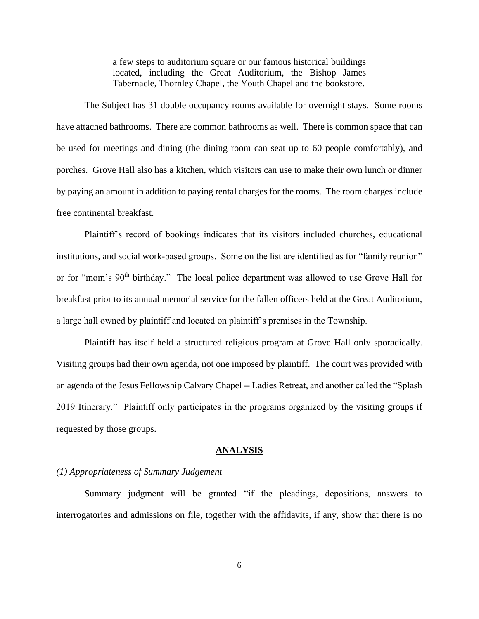a few steps to auditorium square or our famous historical buildings located, including the Great Auditorium, the Bishop James Tabernacle, Thornley Chapel, the Youth Chapel and the bookstore.

The Subject has 31 double occupancy rooms available for overnight stays. Some rooms have attached bathrooms. There are common bathrooms as well. There is common space that can be used for meetings and dining (the dining room can seat up to 60 people comfortably), and porches. Grove Hall also has a kitchen, which visitors can use to make their own lunch or dinner by paying an amount in addition to paying rental charges for the rooms. The room charges include free continental breakfast.

Plaintiff's record of bookings indicates that its visitors included churches, educational institutions, and social work-based groups. Some on the list are identified as for "family reunion" or for "mom's 90<sup>th</sup> birthday." The local police department was allowed to use Grove Hall for breakfast prior to its annual memorial service for the fallen officers held at the Great Auditorium, a large hall owned by plaintiff and located on plaintiff's premises in the Township.

Plaintiff has itself held a structured religious program at Grove Hall only sporadically. Visiting groups had their own agenda, not one imposed by plaintiff. The court was provided with an agenda of the Jesus Fellowship Calvary Chapel -- Ladies Retreat, and another called the "Splash 2019 Itinerary." Plaintiff only participates in the programs organized by the visiting groups if requested by those groups.

#### **ANALYSIS**

## *(1) Appropriateness of Summary Judgement*

Summary judgment will be granted "if the pleadings, depositions, answers to interrogatories and admissions on file, together with the affidavits, if any, show that there is no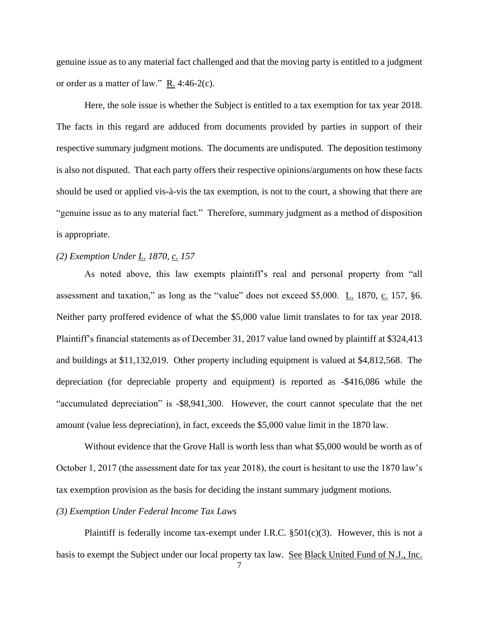genuine issue as to any material fact challenged and that the moving party is entitled to a judgment or order as a matter of law." R. 4:46-2(c).

Here, the sole issue is whether the Subject is entitled to a tax exemption for tax year 2018. The facts in this regard are adduced from documents provided by parties in support of their respective summary judgment motions. The documents are undisputed. The deposition testimony is also not disputed. That each party offers their respective opinions/arguments on how these facts should be used or applied vis-à-vis the tax exemption, is not to the court, a showing that there are "genuine issue as to any material fact." Therefore, summary judgment as a method of disposition is appropriate.

## *(2) Exemption Under L. 1870, c. 157*

As noted above, this law exempts plaintiff's real and personal property from "all assessment and taxation," as long as the "value" does not exceed \$5,000. L. 1870, c. 157, §6. Neither party proffered evidence of what the \$5,000 value limit translates to for tax year 2018. Plaintiff's financial statements as of December 31, 2017 value land owned by plaintiff at \$324,413 and buildings at \$11,132,019. Other property including equipment is valued at \$4,812,568. The depreciation (for depreciable property and equipment) is reported as -\$416,086 while the "accumulated depreciation" is -\$8,941,300. However, the court cannot speculate that the net amount (value less depreciation), in fact, exceeds the \$5,000 value limit in the 1870 law.

Without evidence that the Grove Hall is worth less than what \$5,000 would be worth as of October 1, 2017 (the assessment date for tax year 2018), the court is hesitant to use the 1870 law's tax exemption provision as the basis for deciding the instant summary judgment motions.

### *(3) Exemption Under Federal Income Tax Laws*

Plaintiff is federally income tax-exempt under I.R.C.  $\S501(c)(3)$ . However, this is not a basis to exempt the Subject under our local property tax law. See Black United Fund of N.J., Inc.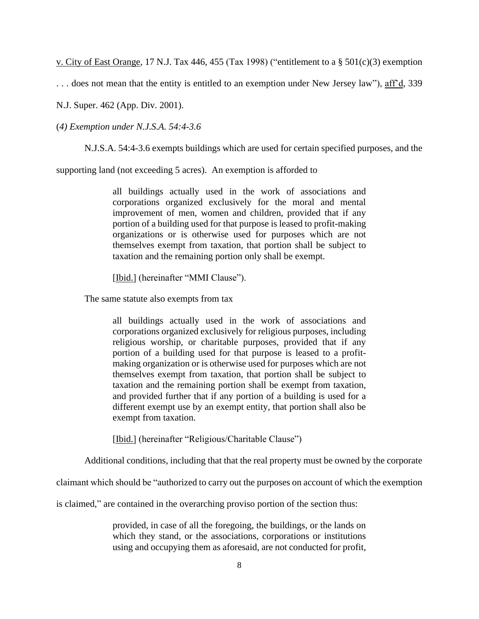v. City of East Orange, 17 N.J. Tax 446, 455 (Tax 1998) ("entitlement to a § 501(c)(3) exemption

. . . does not mean that the entity is entitled to an exemption under New Jersey law"), aff'd, 339

N.J. Super. 462 (App. Div. 2001).

(*4) Exemption under N.J.S.A. 54:4-3.6*

N.J.S.A. 54:4-3.6 exempts buildings which are used for certain specified purposes, and the

supporting land (not exceeding 5 acres). An exemption is afforded to

all buildings actually used in the work of associations and corporations organized exclusively for the moral and mental improvement of men, women and children, provided that if any portion of a building used for that purpose is leased to profit-making organizations or is otherwise used for purposes which are not themselves exempt from taxation, that portion shall be subject to taxation and the remaining portion only shall be exempt.

[Ibid.] (hereinafter "MMI Clause").

The same statute also exempts from tax

all buildings actually used in the work of associations and corporations organized exclusively for religious purposes, including religious worship, or charitable purposes, provided that if any portion of a building used for that purpose is leased to a profitmaking organization or is otherwise used for purposes which are not themselves exempt from taxation, that portion shall be subject to taxation and the remaining portion shall be exempt from taxation, and provided further that if any portion of a building is used for a different exempt use by an exempt entity, that portion shall also be exempt from taxation.

[Ibid.] (hereinafter "Religious/Charitable Clause")

Additional conditions, including that that the real property must be owned by the corporate

claimant which should be "authorized to carry out the purposes on account of which the exemption

is claimed," are contained in the overarching proviso portion of the section thus:

provided, in case of all the foregoing, the buildings, or the lands on which they stand, or the associations, corporations or institutions using and occupying them as aforesaid, are not conducted for profit,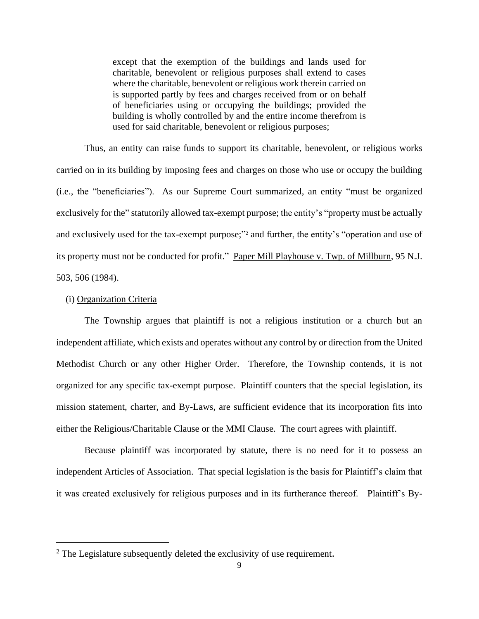except that the exemption of the buildings and lands used for charitable, benevolent or religious purposes shall extend to cases where the charitable, benevolent or religious work therein carried on is supported partly by fees and charges received from or on behalf of beneficiaries using or occupying the buildings; provided the building is wholly controlled by and the entire income therefrom is used for said charitable, benevolent or religious purposes;

Thus, an entity can raise funds to support its charitable, benevolent, or religious works carried on in its building by imposing fees and charges on those who use or occupy the building (i.e., the "beneficiaries"). As our Supreme Court summarized, an entity "must be organized exclusively for the" statutorily allowed tax-exempt purpose; the entity's "property must be actually and exclusively used for the tax-exempt purpose;" <sup>2</sup> and further, the entity's "operation and use of its property must not be conducted for profit." Paper Mill Playhouse v. Twp. of Millburn, 95 N.J. 503, 506 (1984).

#### (i) Organization Criteria

The Township argues that plaintiff is not a religious institution or a church but an independent affiliate, which exists and operates without any control by or direction from the United Methodist Church or any other Higher Order. Therefore, the Township contends, it is not organized for any specific tax-exempt purpose. Plaintiff counters that the special legislation, its mission statement, charter, and By-Laws, are sufficient evidence that its incorporation fits into either the Religious/Charitable Clause or the MMI Clause. The court agrees with plaintiff.

Because plaintiff was incorporated by statute, there is no need for it to possess an independent Articles of Association. That special legislation is the basis for Plaintiff's claim that it was created exclusively for religious purposes and in its furtherance thereof. Plaintiff's By-

 $2$  The Legislature subsequently deleted the exclusivity of use requirement.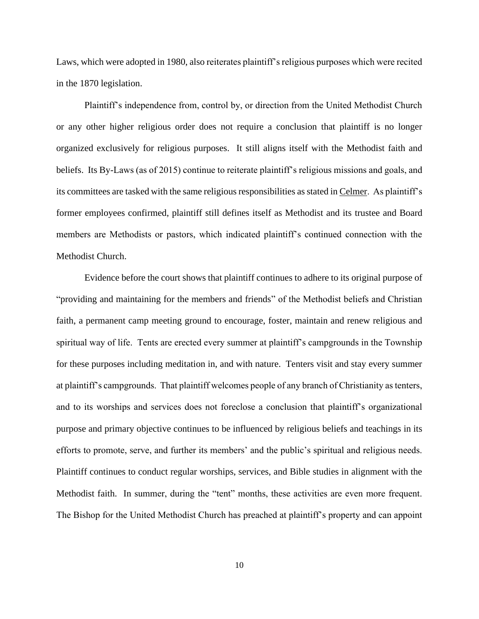Laws, which were adopted in 1980, also reiterates plaintiff's religious purposes which were recited in the 1870 legislation.

Plaintiff's independence from, control by, or direction from the United Methodist Church or any other higher religious order does not require a conclusion that plaintiff is no longer organized exclusively for religious purposes. It still aligns itself with the Methodist faith and beliefs. Its By-Laws (as of 2015) continue to reiterate plaintiff's religious missions and goals, and its committees are tasked with the same religious responsibilities as stated in Celmer. As plaintiff's former employees confirmed, plaintiff still defines itself as Methodist and its trustee and Board members are Methodists or pastors, which indicated plaintiff's continued connection with the Methodist Church.

Evidence before the court shows that plaintiff continues to adhere to its original purpose of "providing and maintaining for the members and friends" of the Methodist beliefs and Christian faith, a permanent camp meeting ground to encourage, foster, maintain and renew religious and spiritual way of life. Tents are erected every summer at plaintiff's campgrounds in the Township for these purposes including meditation in, and with nature. Tenters visit and stay every summer at plaintiff's campgrounds. That plaintiff welcomes people of any branch of Christianity as tenters, and to its worships and services does not foreclose a conclusion that plaintiff's organizational purpose and primary objective continues to be influenced by religious beliefs and teachings in its efforts to promote, serve, and further its members' and the public's spiritual and religious needs. Plaintiff continues to conduct regular worships, services, and Bible studies in alignment with the Methodist faith. In summer, during the "tent" months, these activities are even more frequent. The Bishop for the United Methodist Church has preached at plaintiff's property and can appoint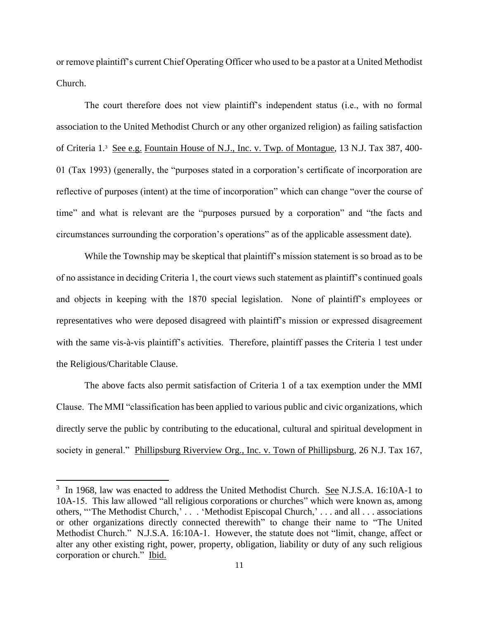or remove plaintiff's current Chief Operating Officer who used to be a pastor at a United Methodist Church.

The court therefore does not view plaintiff's independent status (i.e., with no formal association to the United Methodist Church or any other organized religion) as failing satisfaction of Criteria 1.<sup>3</sup> See e.g. Fountain House of N.J., Inc. v. Twp. of Montague, 13 N.J. Tax 387, 400- 01 (Tax 1993) (generally, the "purposes stated in a corporation's certificate of incorporation are reflective of purposes (intent) at the time of incorporation" which can change "over the course of time" and what is relevant are the "purposes pursued by a corporation" and "the facts and circumstances surrounding the corporation's operations" as of the applicable assessment date).

While the Township may be skeptical that plaintiff's mission statement is so broad as to be of no assistance in deciding Criteria 1, the court views such statement as plaintiff's continued goals and objects in keeping with the 1870 special legislation. None of plaintiff's employees or representatives who were deposed disagreed with plaintiff's mission or expressed disagreement with the same vis-à-vis plaintiff's activities. Therefore, plaintiff passes the Criteria 1 test under the Religious/Charitable Clause.

The above facts also permit satisfaction of Criteria 1 of a tax exemption under the MMI Clause. The MMI "classification has been applied to various public and civic organizations, which directly serve the public by contributing to the educational, cultural and spiritual development in society in general." Phillipsburg Riverview Org., Inc. v. Town of Phillipsburg, 26 N.J. Tax 167,

<sup>&</sup>lt;sup>3</sup> In 1968, law was enacted to address the United Methodist Church. See N.J.S.A. 16:10A-1 to 10A-15. This law allowed "all religious corporations or churches" which were known as, among others, "'The Methodist Church,' . . . 'Methodist Episcopal Church,' . . . and all . . . associations or other organizations directly connected therewith" to change their name to "The United Methodist Church." N.J.S.A. 16:10A-1. However, the statute does not "limit, change, affect or alter any other existing right, power, property, obligation, liability or duty of any such religious corporation or church." Ibid.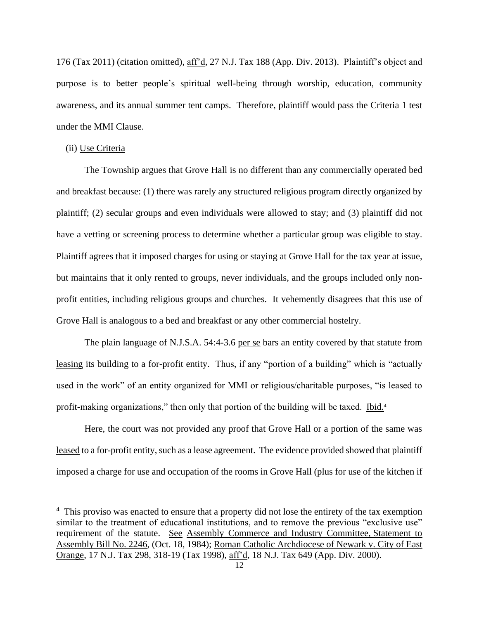176 (Tax 2011) (citation omitted), aff'd, 27 N.J. Tax 188 (App. Div. 2013). Plaintiff's object and purpose is to better people's spiritual well-being through worship, education, community awareness, and its annual summer tent camps. Therefore, plaintiff would pass the Criteria 1 test under the MMI Clause.

#### (ii) Use Criteria

The Township argues that Grove Hall is no different than any commercially operated bed and breakfast because: (1) there was rarely any structured religious program directly organized by plaintiff; (2) secular groups and even individuals were allowed to stay; and (3) plaintiff did not have a vetting or screening process to determine whether a particular group was eligible to stay. Plaintiff agrees that it imposed charges for using or staying at Grove Hall for the tax year at issue, but maintains that it only rented to groups, never individuals, and the groups included only nonprofit entities, including religious groups and churches. It vehemently disagrees that this use of Grove Hall is analogous to a bed and breakfast or any other commercial hostelry.

The plain language of N.J.S.A. 54:4-3.6 per se bars an entity covered by that statute from leasing its building to a for-profit entity. Thus, if any "portion of a building" which is "actually used in the work" of an entity organized for MMI or religious/charitable purposes, "is leased to profit-making organizations," then only that portion of the building will be taxed. Ibid.<sup>4</sup>

Here, the court was not provided any proof that Grove Hall or a portion of the same was leased to a for-profit entity, such as a lease agreement. The evidence provided showed that plaintiff imposed a charge for use and occupation of the rooms in Grove Hall (plus for use of the kitchen if

<sup>&</sup>lt;sup>4</sup> This proviso was enacted to ensure that a property did not lose the entirety of the tax exemption similar to the treatment of educational institutions, and to remove the previous "exclusive use" requirement of the statute. See Assembly Commerce and Industry Committee, Statement to Assembly Bill No. 2246, (Oct. 18, 1984); Roman Catholic Archdiocese of Newark v. City of East Orange, 17 N.J. Tax 298, 318-19 (Tax 1998), aff'd, 18 N.J. Tax 649 (App. Div. 2000).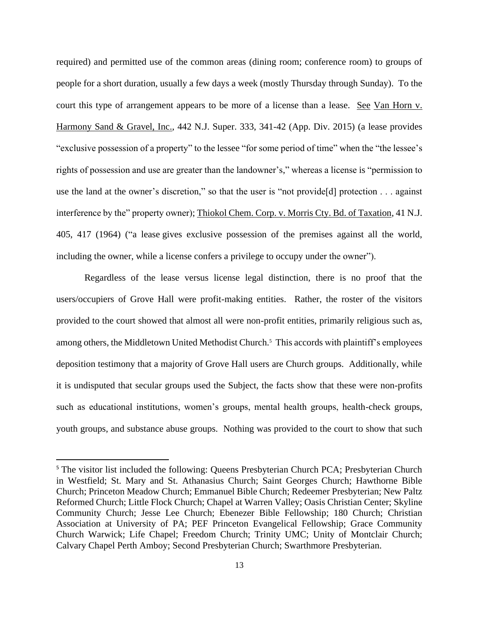required) and permitted use of the common areas (dining room; conference room) to groups of people for a short duration, usually a few days a week (mostly Thursday through Sunday). To the court this type of arrangement appears to be more of a license than a lease. See Van Horn v. Harmony Sand & Gravel, Inc., 442 N.J. Super. 333, 341-42 (App. Div. 2015) (a lease provides "exclusive possession of a property" to the lessee "for some period of time" when the "the lessee's rights of possession and use are greater than the landowner's," whereas a license is "permission to use the land at the owner's discretion," so that the user is "not provide[d] protection . . . against interference by the" property owner); Thiokol Chem. Corp. v. Morris Cty. Bd. of Taxation, 41 N.J. 405, 417 (1964) ("a lease gives exclusive possession of the premises against all the world, including the owner, while a license confers a privilege to occupy under the owner").

Regardless of the lease versus license legal distinction, there is no proof that the users/occupiers of Grove Hall were profit-making entities. Rather, the roster of the visitors provided to the court showed that almost all were non-profit entities, primarily religious such as, among others, the Middletown United Methodist Church.<sup>5</sup> This accords with plaintiff's employees deposition testimony that a majority of Grove Hall users are Church groups. Additionally, while it is undisputed that secular groups used the Subject, the facts show that these were non-profits such as educational institutions, women's groups, mental health groups, health-check groups, youth groups, and substance abuse groups. Nothing was provided to the court to show that such

<sup>&</sup>lt;sup>5</sup> The visitor list included the following: Queens Presbyterian Church PCA; Presbyterian Church in Westfield; St. Mary and St. Athanasius Church; Saint Georges Church; Hawthorne Bible Church; Princeton Meadow Church; Emmanuel Bible Church; Redeemer Presbyterian; New Paltz Reformed Church; Little Flock Church; Chapel at Warren Valley; Oasis Christian Center; Skyline Community Church; Jesse Lee Church; Ebenezer Bible Fellowship; 180 Church; Christian Association at University of PA; PEF Princeton Evangelical Fellowship; Grace Community Church Warwick; Life Chapel; Freedom Church; Trinity UMC; Unity of Montclair Church; Calvary Chapel Perth Amboy; Second Presbyterian Church; Swarthmore Presbyterian.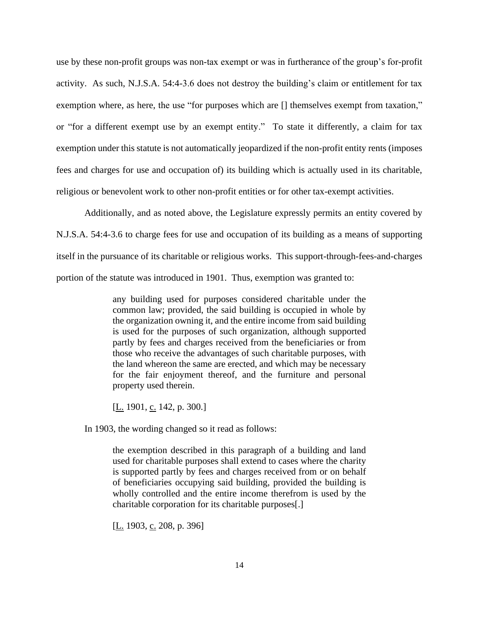use by these non-profit groups was non-tax exempt or was in furtherance of the group's for-profit activity. As such, N.J.S.A. 54:4-3.6 does not destroy the building's claim or entitlement for tax exemption where, as here, the use "for purposes which are [] themselves exempt from taxation," or "for a different exempt use by an exempt entity." To state it differently, a claim for tax exemption under this statute is not automatically jeopardized if the non-profit entity rents (imposes fees and charges for use and occupation of) its building which is actually used in its charitable, religious or benevolent work to other non-profit entities or for other tax-exempt activities.

Additionally, and as noted above, the Legislature expressly permits an entity covered by N.J.S.A. 54:4-3.6 to charge fees for use and occupation of its building as a means of supporting itself in the pursuance of its charitable or religious works. This support-through-fees-and-charges portion of the statute was introduced in 1901. Thus, exemption was granted to:

> any building used for purposes considered charitable under the common law; provided, the said building is occupied in whole by the organization owning it, and the entire income from said building is used for the purposes of such organization, although supported partly by fees and charges received from the beneficiaries or from those who receive the advantages of such charitable purposes, with the land whereon the same are erected, and which may be necessary for the fair enjoyment thereof, and the furniture and personal property used therein.

[ $L.$  1901,  $c.$  142, p. 300.]

In 1903, the wording changed so it read as follows:

the exemption described in this paragraph of a building and land used for charitable purposes shall extend to cases where the charity is supported partly by fees and charges received from or on behalf of beneficiaries occupying said building, provided the building is wholly controlled and the entire income therefrom is used by the charitable corporation for its charitable purposes[.]

[L. 1903, c. 208, p. 396]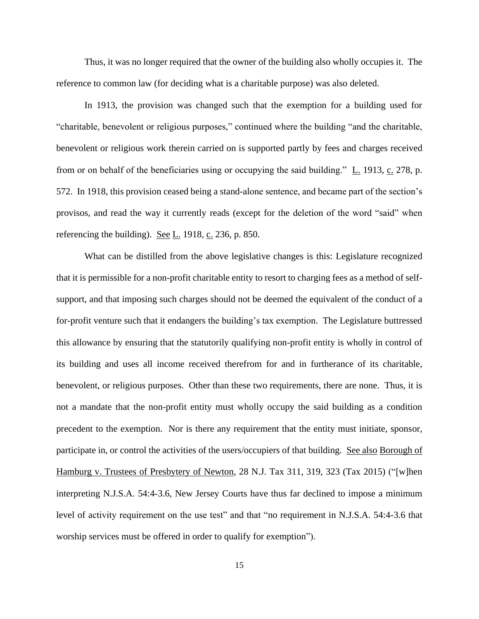Thus, it was no longer required that the owner of the building also wholly occupies it. The reference to common law (for deciding what is a charitable purpose) was also deleted.

In 1913, the provision was changed such that the exemption for a building used for "charitable, benevolent or religious purposes," continued where the building "and the charitable, benevolent or religious work therein carried on is supported partly by fees and charges received from or on behalf of the beneficiaries using or occupying the said building."  $\underline{L}$ . 1913,  $\underline{c}$ . 278, p. 572. In 1918, this provision ceased being a stand-alone sentence, and became part of the section's provisos, and read the way it currently reads (except for the deletion of the word "said" when referencing the building). See  $L$  1918, c. 236, p. 850.

What can be distilled from the above legislative changes is this: Legislature recognized that it is permissible for a non-profit charitable entity to resort to charging fees as a method of selfsupport, and that imposing such charges should not be deemed the equivalent of the conduct of a for-profit venture such that it endangers the building's tax exemption. The Legislature buttressed this allowance by ensuring that the statutorily qualifying non-profit entity is wholly in control of its building and uses all income received therefrom for and in furtherance of its charitable, benevolent, or religious purposes. Other than these two requirements, there are none. Thus, it is not a mandate that the non-profit entity must wholly occupy the said building as a condition precedent to the exemption. Nor is there any requirement that the entity must initiate, sponsor, participate in, or control the activities of the users/occupiers of that building. See also Borough of Hamburg v. Trustees of Presbytery of Newton, 28 N.J. Tax 311, 319, 323 (Tax 2015) ("[w]hen interpreting N.J.S.A. 54:4-3.6, New Jersey Courts have thus far declined to impose a minimum level of activity requirement on the use test" and that "no requirement in N.J.S.A. 54:4-3.6 that worship services must be offered in order to qualify for exemption").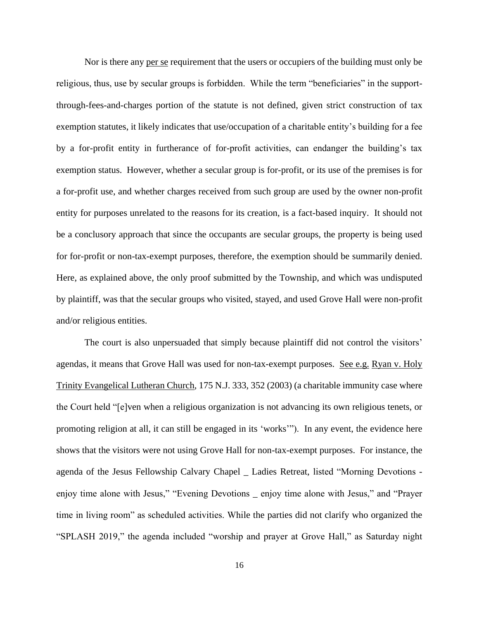Nor is there any per se requirement that the users or occupiers of the building must only be religious, thus, use by secular groups is forbidden. While the term "beneficiaries" in the supportthrough-fees-and-charges portion of the statute is not defined, given strict construction of tax exemption statutes, it likely indicates that use/occupation of a charitable entity's building for a fee by a for-profit entity in furtherance of for-profit activities, can endanger the building's tax exemption status. However, whether a secular group is for-profit, or its use of the premises is for a for-profit use, and whether charges received from such group are used by the owner non-profit entity for purposes unrelated to the reasons for its creation, is a fact-based inquiry. It should not be a conclusory approach that since the occupants are secular groups, the property is being used for for-profit or non-tax-exempt purposes, therefore, the exemption should be summarily denied. Here, as explained above, the only proof submitted by the Township, and which was undisputed by plaintiff, was that the secular groups who visited, stayed, and used Grove Hall were non-profit and/or religious entities.

The court is also unpersuaded that simply because plaintiff did not control the visitors' agendas, it means that Grove Hall was used for non-tax-exempt purposes. See e.g. Ryan v. Holy Trinity Evangelical Lutheran Church, 175 N.J. 333, 352 (2003) (a charitable immunity case where the Court held "[e]ven when a religious organization is not advancing its own religious tenets, or promoting religion at all, it can still be engaged in its 'works'"). In any event, the evidence here shows that the visitors were not using Grove Hall for non-tax-exempt purposes. For instance, the agenda of the Jesus Fellowship Calvary Chapel \_ Ladies Retreat, listed "Morning Devotions enjoy time alone with Jesus," "Evening Devotions \_ enjoy time alone with Jesus," and "Prayer time in living room" as scheduled activities. While the parties did not clarify who organized the "SPLASH 2019," the agenda included "worship and prayer at Grove Hall," as Saturday night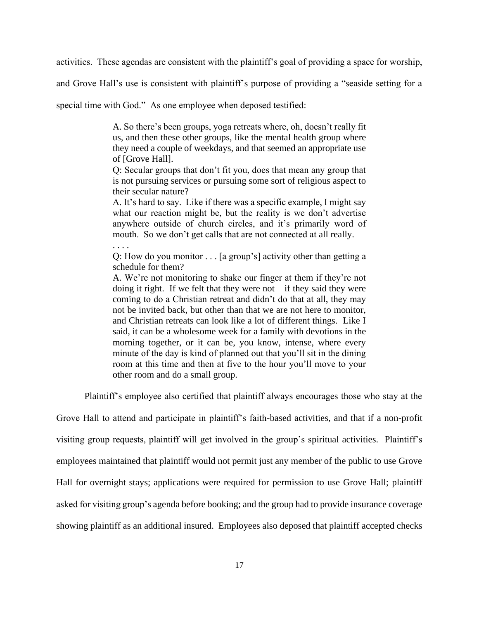activities. These agendas are consistent with the plaintiff's goal of providing a space for worship,

and Grove Hall's use is consistent with plaintiff's purpose of providing a "seaside setting for a

special time with God." As one employee when deposed testified:

. . . .

A. So there's been groups, yoga retreats where, oh, doesn't really fit us, and then these other groups, like the mental health group where they need a couple of weekdays, and that seemed an appropriate use of [Grove Hall].

Q: Secular groups that don't fit you, does that mean any group that is not pursuing services or pursuing some sort of religious aspect to their secular nature?

A. It's hard to say. Like if there was a specific example, I might say what our reaction might be, but the reality is we don't advertise anywhere outside of church circles, and it's primarily word of mouth. So we don't get calls that are not connected at all really.

Q: How do you monitor . . . [a group's] activity other than getting a schedule for them?

A. We're not monitoring to shake our finger at them if they're not doing it right. If we felt that they were not  $-$  if they said they were coming to do a Christian retreat and didn't do that at all, they may not be invited back, but other than that we are not here to monitor, and Christian retreats can look like a lot of different things. Like I said, it can be a wholesome week for a family with devotions in the morning together, or it can be, you know, intense, where every minute of the day is kind of planned out that you'll sit in the dining room at this time and then at five to the hour you'll move to your other room and do a small group.

Plaintiff's employee also certified that plaintiff always encourages those who stay at the

Grove Hall to attend and participate in plaintiff's faith-based activities, and that if a non-profit visiting group requests, plaintiff will get involved in the group's spiritual activities. Plaintiff's employees maintained that plaintiff would not permit just any member of the public to use Grove Hall for overnight stays; applications were required for permission to use Grove Hall; plaintiff asked for visiting group's agenda before booking; and the group had to provide insurance coverage showing plaintiff as an additional insured. Employees also deposed that plaintiff accepted checks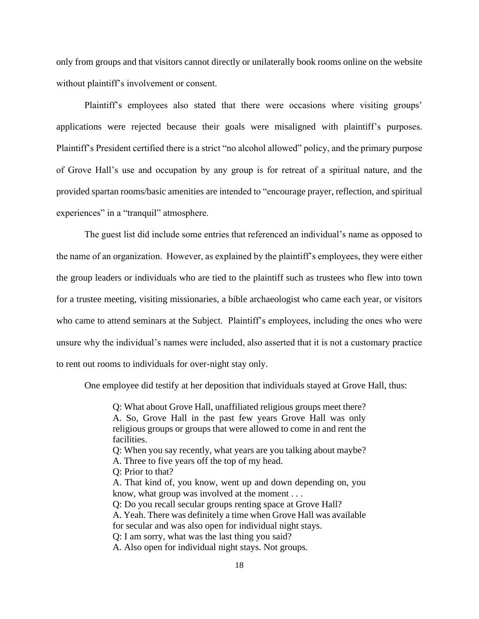only from groups and that visitors cannot directly or unilaterally book rooms online on the website without plaintiff's involvement or consent.

Plaintiff's employees also stated that there were occasions where visiting groups' applications were rejected because their goals were misaligned with plaintiff's purposes. Plaintiff's President certified there is a strict "no alcohol allowed" policy, and the primary purpose of Grove Hall's use and occupation by any group is for retreat of a spiritual nature, and the provided spartan rooms/basic amenities are intended to "encourage prayer, reflection, and spiritual experiences" in a "tranquil" atmosphere.

The guest list did include some entries that referenced an individual's name as opposed to the name of an organization. However, as explained by the plaintiff's employees, they were either the group leaders or individuals who are tied to the plaintiff such as trustees who flew into town for a trustee meeting, visiting missionaries, a bible archaeologist who came each year, or visitors who came to attend seminars at the Subject. Plaintiff's employees, including the ones who were unsure why the individual's names were included, also asserted that it is not a customary practice to rent out rooms to individuals for over-night stay only.

One employee did testify at her deposition that individuals stayed at Grove Hall, thus:

Q: What about Grove Hall, unaffiliated religious groups meet there? A. So, Grove Hall in the past few years Grove Hall was only religious groups or groups that were allowed to come in and rent the facilities.

Q: When you say recently, what years are you talking about maybe?

- A. Three to five years off the top of my head.
- Q: Prior to that?
- A. That kind of, you know, went up and down depending on, you know, what group was involved at the moment . . .

Q: Do you recall secular groups renting space at Grove Hall?

A. Yeah. There was definitely a time when Grove Hall was available

for secular and was also open for individual night stays.

Q: I am sorry, what was the last thing you said?

A. Also open for individual night stays. Not groups.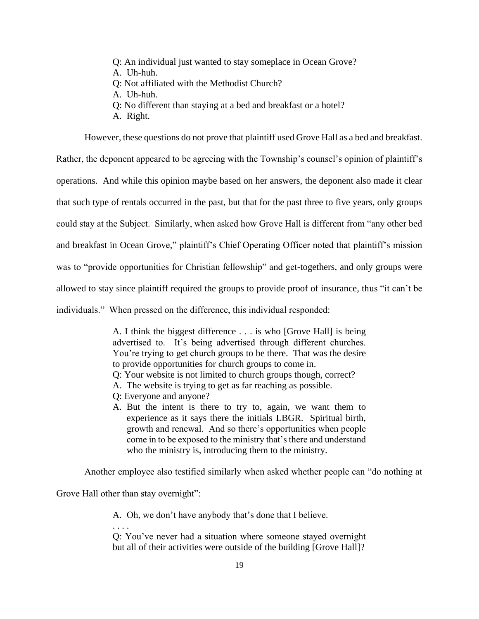- Q: An individual just wanted to stay someplace in Ocean Grove?
- A. Uh-huh.
- Q: Not affiliated with the Methodist Church?
- A. Uh-huh.
- Q: No different than staying at a bed and breakfast or a hotel?
- A. Right.

However, these questions do not prove that plaintiff used Grove Hall as a bed and breakfast.

Rather, the deponent appeared to be agreeing with the Township's counsel's opinion of plaintiff's operations. And while this opinion maybe based on her answers, the deponent also made it clear that such type of rentals occurred in the past, but that for the past three to five years, only groups could stay at the Subject. Similarly, when asked how Grove Hall is different from "any other bed and breakfast in Ocean Grove," plaintiff's Chief Operating Officer noted that plaintiff's mission was to "provide opportunities for Christian fellowship" and get-togethers, and only groups were allowed to stay since plaintiff required the groups to provide proof of insurance, thus "it can't be individuals." When pressed on the difference, this individual responded:

> A. I think the biggest difference . . . is who [Grove Hall] is being advertised to. It's being advertised through different churches. You're trying to get church groups to be there. That was the desire to provide opportunities for church groups to come in. Q: Your website is not limited to church groups though, correct? A. The website is trying to get as far reaching as possible. Q: Everyone and anyone? A. But the intent is there to try to, again, we want them to experience as it says there the initials LBGR. Spiritual birth, growth and renewal. And so there's opportunities when people come in to be exposed to the ministry that's there and understand who the ministry is, introducing them to the ministry.

Another employee also testified similarly when asked whether people can "do nothing at

Grove Hall other than stay overnight":

. . . .

A. Oh, we don't have anybody that's done that I believe.

Q: You've never had a situation where someone stayed overnight but all of their activities were outside of the building [Grove Hall]?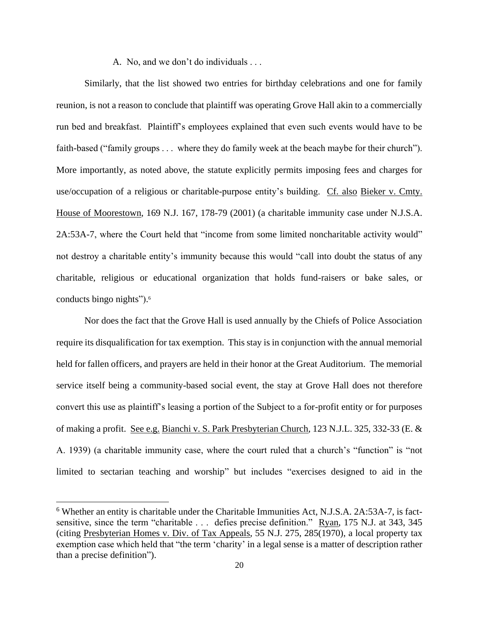A. No, and we don't do individuals . . .

Similarly, that the list showed two entries for birthday celebrations and one for family reunion, is not a reason to conclude that plaintiff was operating Grove Hall akin to a commercially run bed and breakfast. Plaintiff's employees explained that even such events would have to be faith-based ("family groups . . . where they do family week at the beach maybe for their church"). More importantly, as noted above, the statute explicitly permits imposing fees and charges for use/occupation of a religious or charitable-purpose entity's building. Cf. also Bieker v. Cmty. House of Moorestown, 169 N.J. 167, 178-79 (2001) (a charitable immunity case under N.J.S.A. 2A:53A-7, where the Court held that "income from some limited noncharitable activity would" not destroy a charitable entity's immunity because this would "call into doubt the status of any charitable, religious or educational organization that holds fund-raisers or bake sales, or conducts bingo nights"). 6

Nor does the fact that the Grove Hall is used annually by the Chiefs of Police Association require its disqualification for tax exemption. This stay is in conjunction with the annual memorial held for fallen officers, and prayers are held in their honor at the Great Auditorium. The memorial service itself being a community-based social event, the stay at Grove Hall does not therefore convert this use as plaintiff's leasing a portion of the Subject to a for-profit entity or for purposes of making a profit. See e.g. Bianchi v. S. Park Presbyterian Church, 123 N.J.L. 325, 332-33 (E. & A. 1939) (a charitable immunity case, where the court ruled that a church's "function" is "not limited to sectarian teaching and worship" but includes "exercises designed to aid in the

<sup>6</sup> Whether an entity is charitable under the Charitable Immunities Act, N.J.S.A. 2A:53A-7, is factsensitive, since the term "charitable . . . defies precise definition." Ryan, 175 N.J. at 343, 345 (citing Presbyterian Homes v. Div. of Tax Appeals, 55 N.J. 275, 285(1970), a local property tax exemption case which held that "the term 'charity' in a legal sense is a matter of description rather than a precise definition").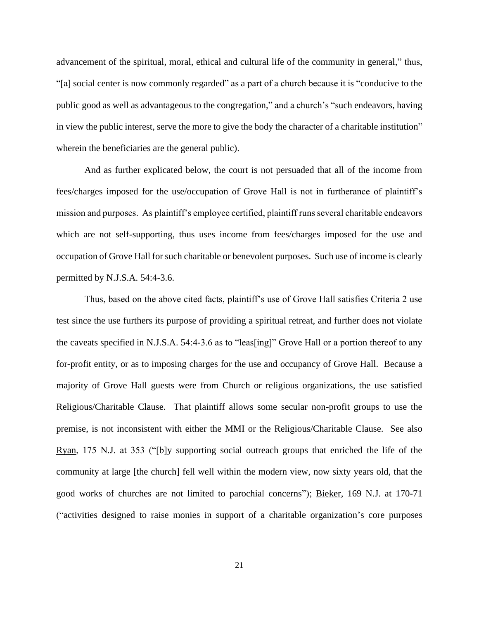advancement of the spiritual, moral, ethical and cultural life of the community in general," thus, "[a] social center is now commonly regarded" as a part of a church because it is "conducive to the public good as well as advantageous to the congregation," and a church's "such endeavors, having in view the public interest, serve the more to give the body the character of a charitable institution" wherein the beneficiaries are the general public).

And as further explicated below, the court is not persuaded that all of the income from fees/charges imposed for the use/occupation of Grove Hall is not in furtherance of plaintiff's mission and purposes. As plaintiff's employee certified, plaintiff runs several charitable endeavors which are not self-supporting, thus uses income from fees/charges imposed for the use and occupation of Grove Hall for such charitable or benevolent purposes. Such use of income is clearly permitted by N.J.S.A. 54:4-3.6.

Thus, based on the above cited facts, plaintiff's use of Grove Hall satisfies Criteria 2 use test since the use furthers its purpose of providing a spiritual retreat, and further does not violate the caveats specified in N.J.S.A. 54:4-3.6 as to "leas[ing]" Grove Hall or a portion thereof to any for-profit entity, or as to imposing charges for the use and occupancy of Grove Hall. Because a majority of Grove Hall guests were from Church or religious organizations, the use satisfied Religious/Charitable Clause. That plaintiff allows some secular non-profit groups to use the premise, is not inconsistent with either the MMI or the Religious/Charitable Clause. See also Ryan, 175 N.J. at 353 ("[b]y supporting social outreach groups that enriched the life of the community at large [the church] fell well within the modern view, now sixty years old, that the good works of churches are not limited to parochial concerns"); Bieker, 169 N.J. at 170-71 ("activities designed to raise monies in support of a charitable organization's core purposes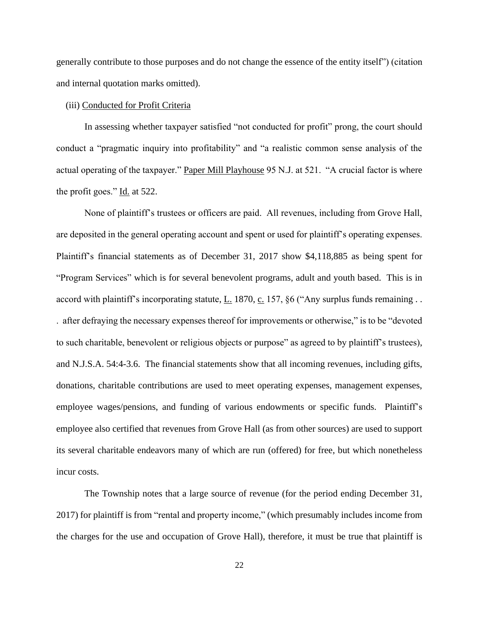generally contribute to those purposes and do not change the essence of the entity itself") (citation and internal quotation marks omitted).

### (iii) Conducted for Profit Criteria

In assessing whether taxpayer satisfied "not conducted for profit" prong, the court should conduct a "pragmatic inquiry into profitability" and "a realistic common sense analysis of the actual operating of the taxpayer." Paper Mill Playhouse 95 N.J. at 521. "A crucial factor is where the profit goes." Id. at 522.

None of plaintiff's trustees or officers are paid. All revenues, including from Grove Hall, are deposited in the general operating account and spent or used for plaintiff's operating expenses. Plaintiff's financial statements as of December 31, 2017 show \$4,118,885 as being spent for "Program Services" which is for several benevolent programs, adult and youth based. This is in accord with plaintiff's incorporating statute,  $L$ . 1870,  $c$ . 157, §6 ("Any surplus funds remaining ... . after defraying the necessary expenses thereof for improvements or otherwise," is to be "devoted to such charitable, benevolent or religious objects or purpose" as agreed to by plaintiff's trustees), and N.J.S.A. 54:4-3.6. The financial statements show that all incoming revenues, including gifts, donations, charitable contributions are used to meet operating expenses, management expenses, employee wages/pensions, and funding of various endowments or specific funds. Plaintiff's employee also certified that revenues from Grove Hall (as from other sources) are used to support its several charitable endeavors many of which are run (offered) for free, but which nonetheless incur costs.

The Township notes that a large source of revenue (for the period ending December 31, 2017) for plaintiff is from "rental and property income," (which presumably includes income from the charges for the use and occupation of Grove Hall), therefore, it must be true that plaintiff is